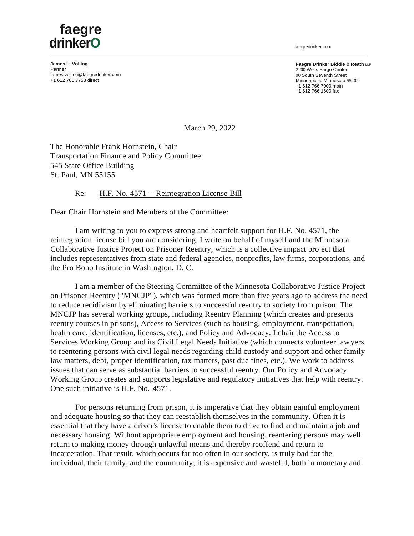## **faegre drinkerO** faegredrinker.com

**James L. Volling** Partner [james.volling@faegredrinker.com](mailto:james.volling@faegredrinker.com) +1 612 766 7758 direct

**Faegre Drinker Biddle** & **Reath** LLP 2200 Wells Fargo Center 90 South Seventh Street Minneapolis, Minnesota 55402 +1 612 766 7000 main +1 612 766 1600 fax

March 29, 2022

The Honorable Frank Hornstein, Chair Transportation Finance and Policy Committee 545 State Office Building St. Paul, MN 55155

## Re: H.F. No. 4571 -- Reintegration License Bill

Dear Chair Hornstein and Members of the Committee:

I am writing to you to express strong and heartfelt support for H.F. No. 4571, the reintegration license bill you are considering. I write on behalf of myself and the Minnesota Collaborative Justice Project on Prisoner Reentry, which is a collective impact project that includes representatives from state and federal agencies, nonprofits, law firms, corporations, and the Pro Bono Institute in Washington, D. C.

I am a member of the Steering Committee of the Minnesota Collaborative Justice Project on Prisoner Reentry ("MNCJP"), which was formed more than five years ago to address the need to reduce recidivism by eliminating barriers to successful reentry to society from prison. The MNCJP has several working groups, including Reentry Planning (which creates and presents reentry courses in prisons), Access to Services (such as housing, employment, transportation, health care, identification, licenses, etc.), and Policy and Advocacy. I chair the Access to Services Working Group and its Civil Legal Needs Initiative (which connects volunteer lawyers to reentering persons with civil legal needs regarding child custody and support and other family law matters, debt, proper identification, tax matters, past due fines, etc.). We work to address issues that can serve as substantial barriers to successful reentry. Our Policy and Advocacy Working Group creates and supports legislative and regulatory initiatives that help with reentry. One such initiative is H.F. No. 4571.

For persons returning from prison, it is imperative that they obtain gainful employment and adequate housing so that they can reestablish themselves in the community. Often it is essential that they have a driver's license to enable them to drive to find and maintain a job and necessary housing. Without appropriate employment and housing, reentering persons may well return to making money through unlawful means and thereby reoffend and return to incarceration. That result, which occurs far too often in our society, is truly bad for the individual, their family, and the community; it is expensive and wasteful, both in monetary and